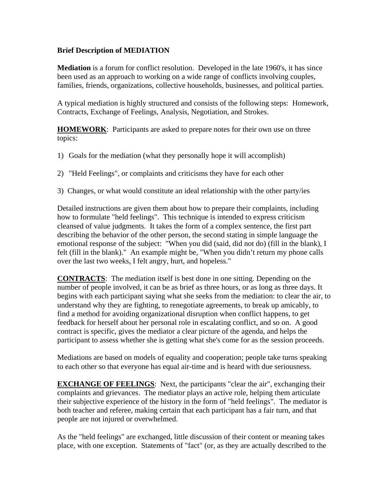## **Brief Description of MEDIATION**

**Mediation** is a forum for conflict resolution. Developed in the late 1960's, it has since been used as an approach to working on a wide range of conflicts involving couples, families, friends, organizations, collective households, businesses, and political parties.

A typical mediation is highly structured and consists of the following steps: Homework, Contracts, Exchange of Feelings, Analysis, Negotiation, and Strokes.

**HOMEWORK**: Participants are asked to prepare notes for their own use on three topics:

- 1) Goals for the mediation (what they personally hope it will accomplish)
- 2) "Held Feelings", or complaints and criticisms they have for each other
- 3) Changes, or what would constitute an ideal relationship with the other party/ies

Detailed instructions are given them about how to prepare their complaints, including how to formulate "held feelings". This technique is intended to express criticism cleansed of value judgments. It takes the form of a complex sentence, the first part describing the behavior of the other person, the second stating in simple language the emotional response of the subject: "When you did (said, did not do) (fill in the blank), I felt (fill in the blank)." An example might be, "When you didn't return my phone calls over the last two weeks, I felt angry, hurt, and hopeless."

**CONTRACTS**: The mediation itself is best done in one sitting. Depending on the number of people involved, it can be as brief as three hours, or as long as three days. It begins with each participant saying what she seeks from the mediation: to clear the air, to understand why they are fighting, to renegotiate agreements, to break up amicably, to find a method for avoiding organizational disruption when conflict happens, to get feedback for herself about her personal role in escalating conflict, and so on. A good contract is specific, gives the mediator a clear picture of the agenda, and helps the participant to assess whether she is getting what she's come for as the session proceeds.

Mediations are based on models of equality and cooperation; people take turns speaking to each other so that everyone has equal air-time and is heard with due seriousness.

**EXCHANGE OF FEELINGS:** Next, the participants "clear the air", exchanging their complaints and grievances. The mediator plays an active role, helping them articulate their subjective experience of the history in the form of "held feelings". The mediator is both teacher and referee, making certain that each participant has a fair turn, and that people are not injured or overwhelmed.

As the "held feelings" are exchanged, little discussion of their content or meaning takes place, with one exception. Statements of "fact" (or, as they are actually described to the